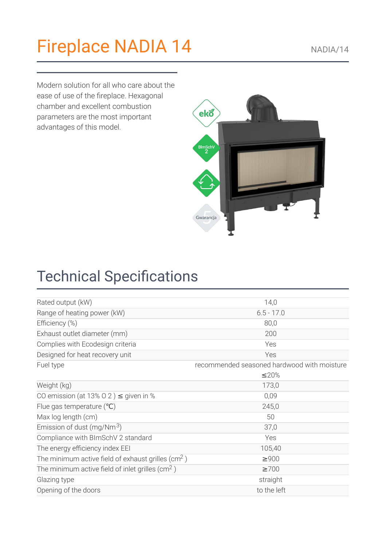# [Fireplace](https://kratki.com/sklep/en/produkt/1539/fireplace-nadia-14) NADIA 14

Modern solution for all who care about the ease of use of the fireplace. Hexagonal chamber and excellent combustion parameters are the most important advantages of this model.



| Rated output (kW)                                              | 14,0                                        |
|----------------------------------------------------------------|---------------------------------------------|
| Range of heating power (kW)                                    | $6.5 - 17.0$                                |
| Efficiency (%)                                                 | 80,0                                        |
| Exhaust outlet diameter (mm)                                   | 200                                         |
| Complies with Ecodesign criteria                               | Yes                                         |
| Designed for heat recovery unit                                | Yes                                         |
| Fuel type                                                      | recommended seasoned hardwood with moisture |
|                                                                | ≤20%                                        |
| Weight (kg)                                                    | 173,0                                       |
| CO emission (at 13% O 2) $\leq$ given in %                     | 0,09                                        |
| Flue gas temperature $(°C)$                                    | 245,0                                       |
| Max log length (cm)                                            | 50                                          |
| Emission of dust (mg/Nm $3$ )                                  | 37,0                                        |
| Compliance with BImSchV 2 standard                             | Yes                                         |
| The energy efficiency index EEI                                | 105,40                                      |
| The minimum active field of exhaust grilles (cm <sup>2</sup> ) | $\geq 900$                                  |
| The minimum active field of inlet grilles ( $\text{cm}^2$ )    | $\geq 700$                                  |
| Glazing type                                                   | straight                                    |
| Opening of the doors                                           | to the left                                 |

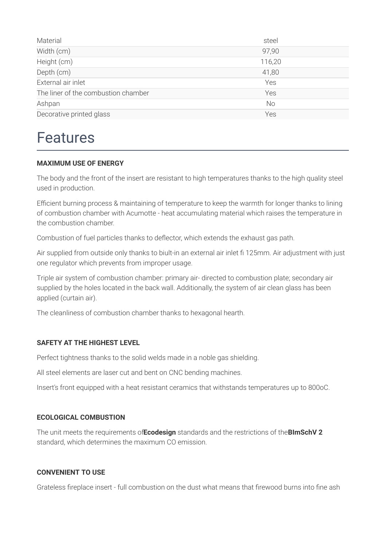| Material                            | steel     |
|-------------------------------------|-----------|
| Width (cm)                          | 97,90     |
| Height (cm)                         | 116,20    |
| Depth (cm)                          | 41,80     |
| External air inlet                  | Yes       |
| The liner of the combustion chamber | Yes       |
| Ashpan                              | <b>No</b> |
| Decorative printed glass            | Yes       |

### Features

#### **MAXIMUM USE OF ENERGY**

The body and the front of the insert are resistant to high temperatures thanks to the high quality steel used in production.

Efficient burning process & maintaining of temperature to keep the warmth for longer thanks to lining of combustion chamber with Acumotte - heat accumulating material which raises the temperature in the combustion chamber.

Combustion of fuel particles thanks to deflector, which extends the exhaust gas path.

Air supplied from outside only thanks to biult-in an external air inlet fi 125mm. Air adjustment with just one regulator which prevents from improper usage.

Triple air system of combustion chamber: primary air- directed to combustion plate; secondary air supplied by the holes located in the back wall. Additionally, the system of air clean glass has been applied (curtain air).

The cleanliness of combustion chamber thanks to hexagonal hearth.

#### **SAFETY AT THE HIGHEST LEVEL**

Perfect tightness thanks to the solid welds made in a noble gas shielding.

All steel elements are laser cut and bent on CNC bending machines.

Insert's front equipped with a heat resistant ceramics that withstands temperatures up to 800oC.

#### **ECOLOGICAL COMBUSTION**

The unit meets the requirements of**Ecodesign** standards and the restrictions of the**BImSchV 2** standard, which determines the maximum CO emission.

#### **CONVENIENT TO USE**

Grateless fireplace insert - full combustion on the dust what means that firewood burns into fine ash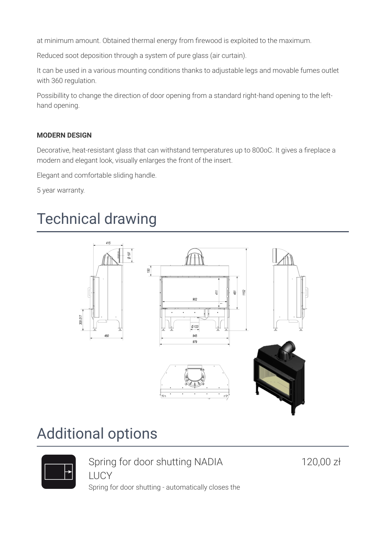at minimum amount. Obtained thermal energy from firewood is exploited to the maximum.

Reduced soot deposition through a system of pure glass (air curtain).

It can be used in a various mounting conditions thanks to adjustable legs and movable fumes outlet with 360 regulation.

Possibillity to change the direction of door opening from a standard right-hand opening to the lefthand opening.

#### **MODERN DESIGN**

Decorative, heat-resistant glass that can withstand temperatures up to 800oC. It gives a fireplace a modern and elegant look, visually enlarges the front of the insert.

Elegant and comfortable sliding handle.

5 year warranty.

### Technical drawing



### Additional options



Spring for door shutting NADIA LUCY

120,00 zł

Spring for door shutting - automatically closes the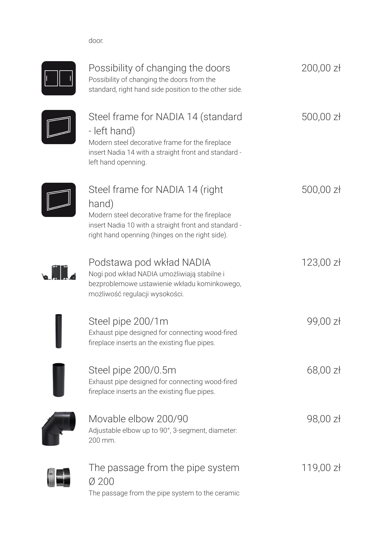door.



| Possibility of changing the doors<br>Possibility of changing the doors from the<br>standard, right hand side position to the other side.                                                               | $200,00$ zł           |
|--------------------------------------------------------------------------------------------------------------------------------------------------------------------------------------------------------|-----------------------|
| Steel frame for NADIA 14 (standard<br>- left hand)<br>Modern steel decorative frame for the fireplace<br>insert Nadia 14 with a straight front and standard -<br>left hand openning.                   | $500,00$ zł           |
| Steel frame for NADIA 14 (right<br>hand)<br>Modern steel decorative frame for the fireplace<br>insert Nadia 10 with a straight front and standard -<br>right hand openning (hinges on the right side). | $500,00$ zł           |
| Podstawa pod wkład NADIA<br>Nogi pod wkład NADIA umożliwiają stabilne i<br>bezproblemowe ustawienie wkładu kominkowego,<br>możliwość regulacji wysokości.                                              | 123,00 z <sub>t</sub> |
| Steel pipe 200/1m<br>Exhaust pipe designed for connecting wood-fired<br>fireplace inserts an the existing flue pipes.                                                                                  | 99,00 zł              |
| Steel pipe 200/0.5m<br>Exhaust pipe designed for connecting wood-fired<br>fireplace inserts an the existing flue pipes.                                                                                | $68,00$ zł            |
| Movable elbow 200/90<br>Adjustable elbow up to 90°, 3-segment, diameter:<br>200 mm.                                                                                                                    | 98,00 zł              |
| The passage from the pipe system<br>Ø 200                                                                                                                                                              | 119,00 zł             |

The passage from the pipe system to the ceramic